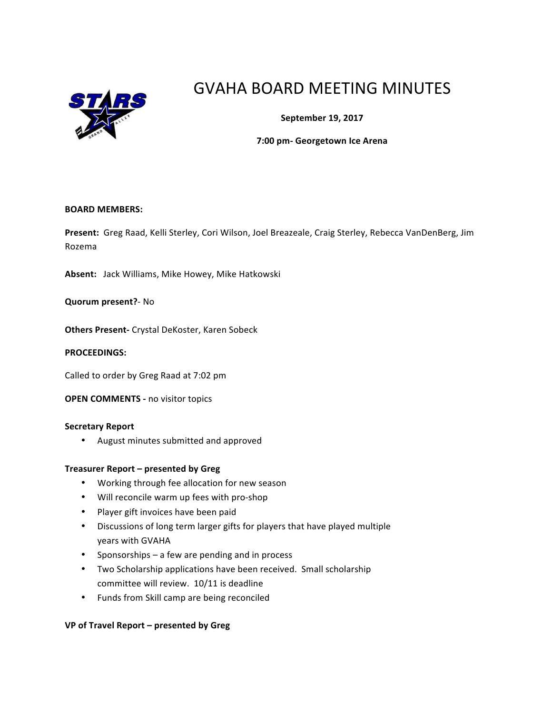

# GVAHA BOARD MEETING MINUTES

**September 19, 2017**

**7:00 pm- Georgetown Ice Arena**

#### **BOARD MEMBERS:**

Present: Greg Raad, Kelli Sterley, Cori Wilson, Joel Breazeale, Craig Sterley, Rebecca VanDenBerg, Jim Rozema

Absent: Jack Williams, Mike Howey, Mike Hatkowski

**Quorum present?**- No

**Others Present-** Crystal DeKoster, Karen Sobeck

#### **PROCEEDINGS:**

Called to order by Greg Raad at 7:02 pm

**OPEN COMMENTS - no visitor topics** 

#### **Secretary Report**

• August minutes submitted and approved

#### **Treasurer Report – presented by Greg**

- Working through fee allocation for new season
- Will reconcile warm up fees with pro-shop
- Player gift invoices have been paid
- Discussions of long term larger gifts for players that have played multiple years with GVAHA
- Sponsorships  $-$  a few are pending and in process
- Two Scholarship applications have been received. Small scholarship committee will review. 10/11 is deadline
- Funds from Skill camp are being reconciled

#### **VP of Travel Report – presented by Greg**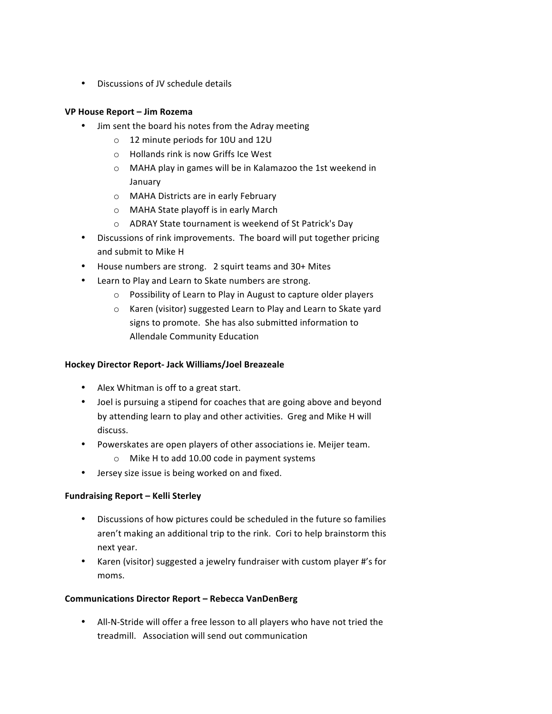• Discussions of JV schedule details

# **VP House Report – Jim Rozema**

- Jim sent the board his notes from the Adray meeting
	- $\circ$  12 minute periods for 10U and 12U
	- $\circ$  Hollands rink is now Griffs Ice West
	- o MAHA play in games will be in Kalamazoo the 1st weekend in January
	- o MAHA Districts are in early February
	- $\circ$  MAHA State playoff is in early March
	- o ADRAY State tournament is weekend of St Patrick's Day
- Discussions of rink improvements. The board will put together pricing and submit to Mike H
- House numbers are strong. 2 squirt teams and 30+ Mites
- Learn to Play and Learn to Skate numbers are strong.
	- $\circ$  Possibility of Learn to Play in August to capture older players
	- $\circ$  Karen (visitor) suggested Learn to Play and Learn to Skate vard signs to promote. She has also submitted information to Allendale Community Education

# **Hockey Director Report- Jack Williams/Joel Breazeale**

- Alex Whitman is off to a great start.
- Joel is pursuing a stipend for coaches that are going above and beyond by attending learn to play and other activities. Greg and Mike H will discuss.
- Powerskates are open players of other associations ie. Meijer team.
	- $\circ$  Mike H to add 10.00 code in payment systems
- Jersey size issue is being worked on and fixed.

# **Fundraising Report – Kelli Sterley**

- Discussions of how pictures could be scheduled in the future so families aren't making an additional trip to the rink. Cori to help brainstorm this next year.
- Karen (visitor) suggested a jewelry fundraiser with custom player #'s for moms.

# **Communications Director Report – Rebecca VanDenBerg**

• All-N-Stride will offer a free lesson to all players who have not tried the treadmill. Association will send out communication